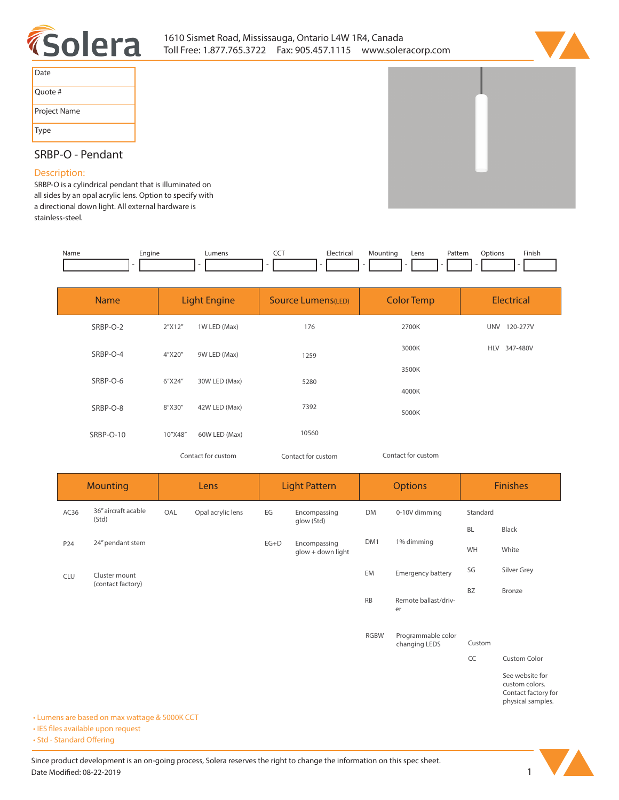



| Date         |  |
|--------------|--|
| Quote #      |  |
| Project Name |  |
| <b>Type</b>  |  |

# **SRBP-O - Pendant**

## **Description:**

**SRBP-O is a cylindrical pendant that is illuminated on all sides by an opal acrylic lens. Option to specify with a directional down light. All external hardware is stainless-steel.** 

| Name | :naine | umens <u>.</u> | --- | . | Lens | 'dl<br>. | )ntion<br>. | Finish<br>the contract of the contract of the |
|------|--------|----------------|-----|---|------|----------|-------------|-----------------------------------------------|
|      |        |                |     |   |      |          |             |                                               |

| <b>Name</b> | <b>Light Engine</b> |               | Source Lumens(LED) | <b>Color Temp</b>  | <b>Electrical</b>      |  |  |
|-------------|---------------------|---------------|--------------------|--------------------|------------------------|--|--|
| SRBP-O-2    | 2"X12"              | 1W LED (Max)  | 176                | 2700K              | 120-277V<br><b>UNV</b> |  |  |
| SRBP-O-4    | 4"X20"              | 9W LED (Max)  | 1259               | 3000K              | 347-480V<br><b>HLV</b> |  |  |
| SRBP-O-6    | 6"X24"              | 30W LED (Max) | 5280               | 3500K              |                        |  |  |
|             |                     |               |                    | 4000K              |                        |  |  |
| SRBP-O-8    | 8"X30"              | 42W LED (Max) | 7392               | 5000K              |                        |  |  |
| SRBP-O-10   | 10"X48"             | 60W LED (Max) | 10560              |                    |                        |  |  |
|             | Contact for custom  |               | Contact for custom | Contact for custom |                        |  |  |

|            | <b>Mounting</b>              |     | Lens              |        | <b>Light Pattern</b>              |             | <b>Options</b>                      | <b>Finishes</b> |                                                                               |
|------------|------------------------------|-----|-------------------|--------|-----------------------------------|-------------|-------------------------------------|-----------------|-------------------------------------------------------------------------------|
| AC36       | 36" aircraft acable<br>(Std) | OAL | Opal acrylic lens | EG     | Encompassing<br>glow (Std)        | <b>DM</b>   | 0-10V dimming                       | Standard        |                                                                               |
|            |                              |     |                   |        |                                   |             |                                     | BL              | Black                                                                         |
| P24        | 24" pendant stem             |     |                   | $EG+D$ | Encompassing<br>glow + down light | DM1         | 1% dimming                          | WH              | White                                                                         |
| <b>CLU</b> | Cluster mount                |     |                   |        |                                   | EM          | <b>Emergency battery</b>            | SG              | Silver Grey                                                                   |
|            | (contact factory)            |     |                   |        |                                   | <b>RB</b>   | Remote ballast/driv-<br>er          | <b>BZ</b>       | Bronze                                                                        |
|            |                              |     |                   |        |                                   | <b>RGBW</b> | Programmable color<br>changing LEDS | Custom          |                                                                               |
|            |                              |     |                   |        |                                   |             |                                     | CC              | <b>Custom Color</b>                                                           |
|            |                              |     |                   |        |                                   |             |                                     |                 | See website for<br>custom colors.<br>Contact factory for<br>physical samples. |

**• Lumens are based on max wattage & 5000K CCT**

**• IES files available upon request** 

• Std - Standard Offering